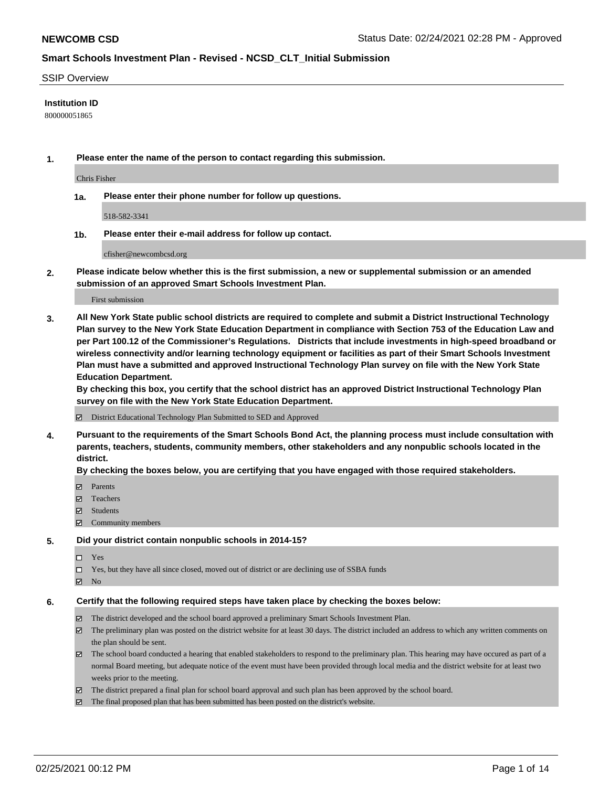### SSIP Overview

### **Institution ID**

800000051865

**1. Please enter the name of the person to contact regarding this submission.**

Chris Fisher

**1a. Please enter their phone number for follow up questions.**

518-582-3341

**1b. Please enter their e-mail address for follow up contact.**

cfisher@newcombcsd.org

**2. Please indicate below whether this is the first submission, a new or supplemental submission or an amended submission of an approved Smart Schools Investment Plan.**

### First submission

**3. All New York State public school districts are required to complete and submit a District Instructional Technology Plan survey to the New York State Education Department in compliance with Section 753 of the Education Law and per Part 100.12 of the Commissioner's Regulations. Districts that include investments in high-speed broadband or wireless connectivity and/or learning technology equipment or facilities as part of their Smart Schools Investment Plan must have a submitted and approved Instructional Technology Plan survey on file with the New York State Education Department.** 

**By checking this box, you certify that the school district has an approved District Instructional Technology Plan survey on file with the New York State Education Department.**

District Educational Technology Plan Submitted to SED and Approved

**4. Pursuant to the requirements of the Smart Schools Bond Act, the planning process must include consultation with parents, teachers, students, community members, other stakeholders and any nonpublic schools located in the district.** 

### **By checking the boxes below, you are certifying that you have engaged with those required stakeholders.**

- **Ø** Parents
- Teachers
- Students
- Community members

#### **5. Did your district contain nonpublic schools in 2014-15?**

- □ Yes
- □ Yes, but they have all since closed, moved out of district or are declining use of SSBA funds
- **Ø** No

### **6. Certify that the following required steps have taken place by checking the boxes below:**

- The district developed and the school board approved a preliminary Smart Schools Investment Plan.
- The preliminary plan was posted on the district website for at least 30 days. The district included an address to which any written comments on the plan should be sent.
- The school board conducted a hearing that enabled stakeholders to respond to the preliminary plan. This hearing may have occured as part of a normal Board meeting, but adequate notice of the event must have been provided through local media and the district website for at least two weeks prior to the meeting.
- The district prepared a final plan for school board approval and such plan has been approved by the school board.
- $\boxtimes$  The final proposed plan that has been submitted has been posted on the district's website.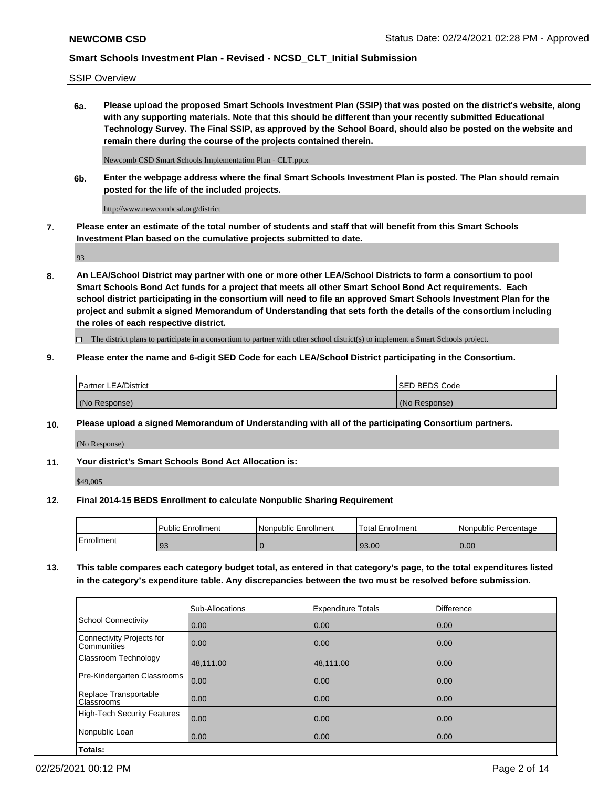SSIP Overview

**6a. Please upload the proposed Smart Schools Investment Plan (SSIP) that was posted on the district's website, along with any supporting materials. Note that this should be different than your recently submitted Educational Technology Survey. The Final SSIP, as approved by the School Board, should also be posted on the website and remain there during the course of the projects contained therein.**

Newcomb CSD Smart Schools Implementation Plan - CLT.pptx

**6b. Enter the webpage address where the final Smart Schools Investment Plan is posted. The Plan should remain posted for the life of the included projects.**

http://www.newcombcsd.org/district

**7. Please enter an estimate of the total number of students and staff that will benefit from this Smart Schools Investment Plan based on the cumulative projects submitted to date.**

93

**8. An LEA/School District may partner with one or more other LEA/School Districts to form a consortium to pool Smart Schools Bond Act funds for a project that meets all other Smart School Bond Act requirements. Each school district participating in the consortium will need to file an approved Smart Schools Investment Plan for the project and submit a signed Memorandum of Understanding that sets forth the details of the consortium including the roles of each respective district.**

 $\Box$  The district plans to participate in a consortium to partner with other school district(s) to implement a Smart Schools project.

## **9. Please enter the name and 6-digit SED Code for each LEA/School District participating in the Consortium.**

| <b>Partner LEA/District</b> | ISED BEDS Code |
|-----------------------------|----------------|
| (No Response)               | (No Response)  |

## **10. Please upload a signed Memorandum of Understanding with all of the participating Consortium partners.**

(No Response)

**11. Your district's Smart Schools Bond Act Allocation is:**

\$49,005

#### **12. Final 2014-15 BEDS Enrollment to calculate Nonpublic Sharing Requirement**

|            | <b>Public Enrollment</b> | Nonpublic Enrollment | Total Enrollment | l Nonpublic Percentage |
|------------|--------------------------|----------------------|------------------|------------------------|
| Enrollment | -93                      |                      | 93.00            | 0.00                   |

**13. This table compares each category budget total, as entered in that category's page, to the total expenditures listed in the category's expenditure table. Any discrepancies between the two must be resolved before submission.**

|                                          | Sub-Allocations | <b>Expenditure Totals</b> | <b>Difference</b> |
|------------------------------------------|-----------------|---------------------------|-------------------|
| <b>School Connectivity</b>               | 0.00            | 0.00                      | 0.00              |
| Connectivity Projects for<br>Communities | 0.00            | 0.00                      | 0.00              |
| Classroom Technology                     | 48,111.00       | 48,111.00                 | 0.00              |
| Pre-Kindergarten Classrooms              | 0.00            | 0.00                      | 0.00              |
| Replace Transportable<br>Classrooms      | 0.00            | 0.00                      | 0.00              |
| <b>High-Tech Security Features</b>       | 0.00            | 0.00                      | 0.00              |
| Nonpublic Loan                           | 0.00            | 0.00                      | 0.00              |
| Totals:                                  |                 |                           |                   |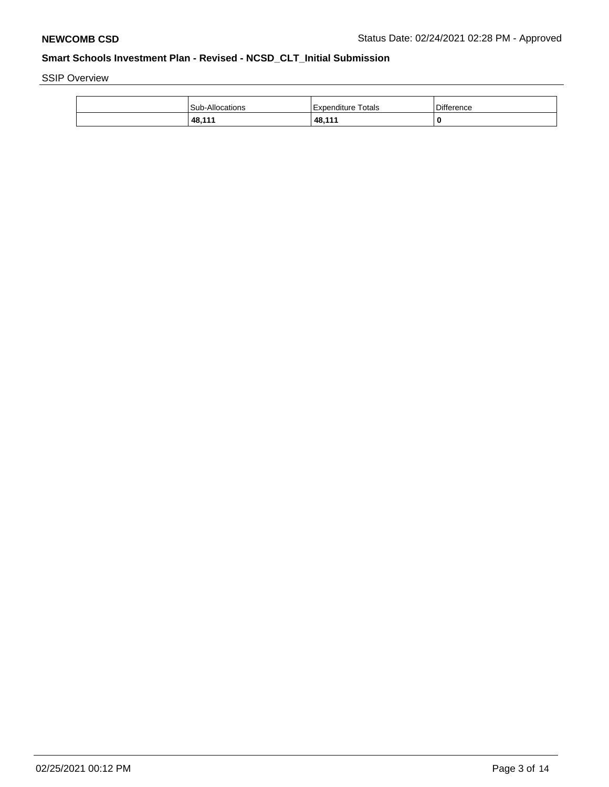SSIP Overview

| Sub-Allocations | Expenditure Totals | <b>Difference</b> |
|-----------------|--------------------|-------------------|
| 48,111          | 48,111             |                   |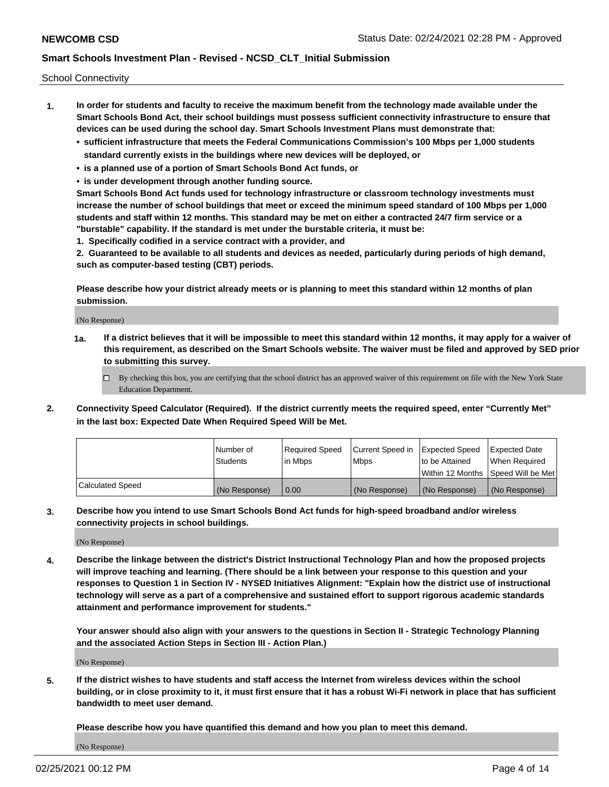School Connectivity

- **1. In order for students and faculty to receive the maximum benefit from the technology made available under the Smart Schools Bond Act, their school buildings must possess sufficient connectivity infrastructure to ensure that devices can be used during the school day. Smart Schools Investment Plans must demonstrate that:**
	- **• sufficient infrastructure that meets the Federal Communications Commission's 100 Mbps per 1,000 students standard currently exists in the buildings where new devices will be deployed, or**
	- **• is a planned use of a portion of Smart Schools Bond Act funds, or**
	- **• is under development through another funding source.**

**Smart Schools Bond Act funds used for technology infrastructure or classroom technology investments must increase the number of school buildings that meet or exceed the minimum speed standard of 100 Mbps per 1,000 students and staff within 12 months. This standard may be met on either a contracted 24/7 firm service or a "burstable" capability. If the standard is met under the burstable criteria, it must be:**

**1. Specifically codified in a service contract with a provider, and**

**2. Guaranteed to be available to all students and devices as needed, particularly during periods of high demand, such as computer-based testing (CBT) periods.**

**Please describe how your district already meets or is planning to meet this standard within 12 months of plan submission.**

(No Response)

**1a. If a district believes that it will be impossible to meet this standard within 12 months, it may apply for a waiver of this requirement, as described on the Smart Schools website. The waiver must be filed and approved by SED prior to submitting this survey.**

 $\Box$  By checking this box, you are certifying that the school district has an approved waiver of this requirement on file with the New York State Education Department.

**2. Connectivity Speed Calculator (Required). If the district currently meets the required speed, enter "Currently Met" in the last box: Expected Date When Required Speed Will be Met.**

|                  | l Number of     | Reauired Speed | Current Speed in | Expected Speed | Expected Date                        |
|------------------|-----------------|----------------|------------------|----------------|--------------------------------------|
|                  | <b>Students</b> | l in Mbps      | l Mbps           | to be Attained | When Required                        |
|                  |                 |                |                  |                | Within 12 Months   Speed Will be Met |
| Calculated Speed | (No Response)   | 0.00           | (No Response)    | (No Response)  | (No Response)                        |

**3. Describe how you intend to use Smart Schools Bond Act funds for high-speed broadband and/or wireless connectivity projects in school buildings.**

(No Response)

**4. Describe the linkage between the district's District Instructional Technology Plan and how the proposed projects will improve teaching and learning. (There should be a link between your response to this question and your responses to Question 1 in Section IV - NYSED Initiatives Alignment: "Explain how the district use of instructional technology will serve as a part of a comprehensive and sustained effort to support rigorous academic standards attainment and performance improvement for students."** 

**Your answer should also align with your answers to the questions in Section II - Strategic Technology Planning and the associated Action Steps in Section III - Action Plan.)**

(No Response)

**5. If the district wishes to have students and staff access the Internet from wireless devices within the school building, or in close proximity to it, it must first ensure that it has a robust Wi-Fi network in place that has sufficient bandwidth to meet user demand.**

**Please describe how you have quantified this demand and how you plan to meet this demand.**

(No Response)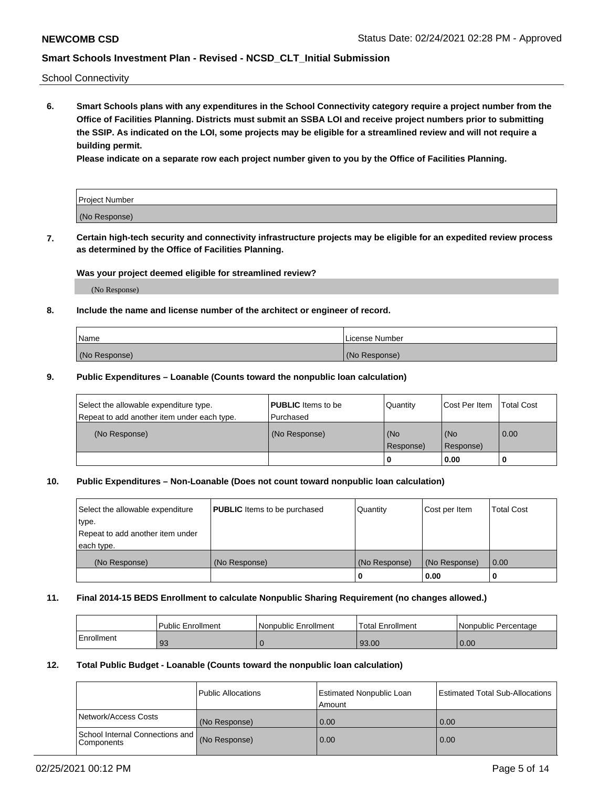School Connectivity

**6. Smart Schools plans with any expenditures in the School Connectivity category require a project number from the Office of Facilities Planning. Districts must submit an SSBA LOI and receive project numbers prior to submitting the SSIP. As indicated on the LOI, some projects may be eligible for a streamlined review and will not require a building permit.**

**Please indicate on a separate row each project number given to you by the Office of Facilities Planning.**

| Project Number |  |
|----------------|--|
| (No Response)  |  |

**7. Certain high-tech security and connectivity infrastructure projects may be eligible for an expedited review process as determined by the Office of Facilities Planning.**

## **Was your project deemed eligible for streamlined review?**

(No Response)

### **8. Include the name and license number of the architect or engineer of record.**

| Name          | License Number |
|---------------|----------------|
| (No Response) | (No Response)  |

### **9. Public Expenditures – Loanable (Counts toward the nonpublic loan calculation)**

| Select the allowable expenditure type.<br>Repeat to add another item under each type. | <b>PUBLIC</b> Items to be<br>l Purchased | Quantity         | l Cost Per Item  | <b>Total Cost</b> |
|---------------------------------------------------------------------------------------|------------------------------------------|------------------|------------------|-------------------|
| (No Response)                                                                         | (No Response)                            | (No<br>Response) | (No<br>Response) | 0.00              |
|                                                                                       |                                          | 0                | 0.00             |                   |

## **10. Public Expenditures – Non-Loanable (Does not count toward nonpublic loan calculation)**

| Select the allowable expenditure<br>type.<br>Repeat to add another item under<br>each type. | <b>PUBLIC</b> Items to be purchased | Quantity      | Cost per Item | <b>Total Cost</b> |
|---------------------------------------------------------------------------------------------|-------------------------------------|---------------|---------------|-------------------|
| (No Response)                                                                               | (No Response)                       | (No Response) | (No Response) | 0.00              |
|                                                                                             |                                     | o             | 0.00          |                   |

#### **11. Final 2014-15 BEDS Enrollment to calculate Nonpublic Sharing Requirement (no changes allowed.)**

|            | Public Enrollment | Nonpublic Enrollment | <b>Total Enrollment</b> | l Nonpublic Percentage |
|------------|-------------------|----------------------|-------------------------|------------------------|
| Enrollment | 93                |                      | 93.00                   | 0.00                   |

### **12. Total Public Budget - Loanable (Counts toward the nonpublic loan calculation)**

|                                               | Public Allocations | <b>Estimated Nonpublic Loan</b><br>Amount | Estimated Total Sub-Allocations |
|-----------------------------------------------|--------------------|-------------------------------------------|---------------------------------|
| Network/Access Costs                          | (No Response)      | 0.00                                      | 0.00                            |
| School Internal Connections and<br>Components | (No Response)      | 0.00                                      | 0.00                            |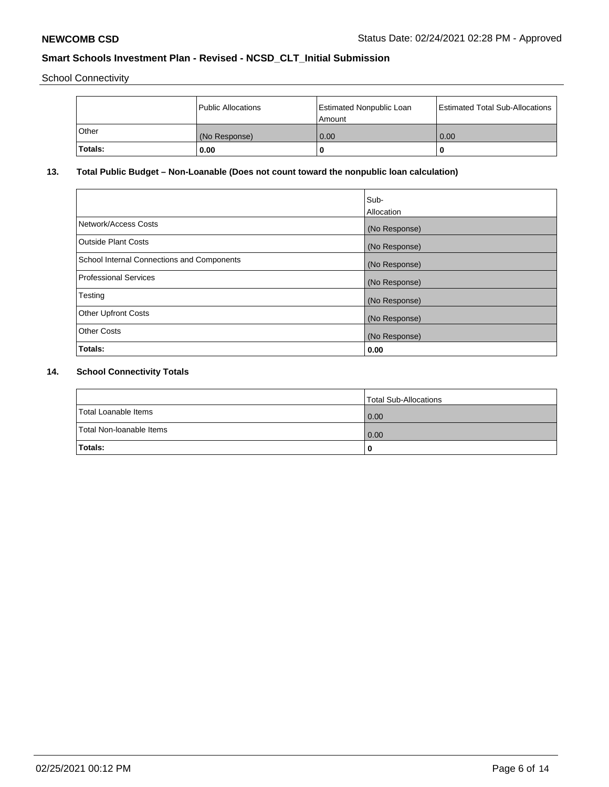School Connectivity

|         | Public Allocations | <b>Estimated Nonpublic Loan</b><br>l Amount | <b>Estimated Total Sub-Allocations</b> |
|---------|--------------------|---------------------------------------------|----------------------------------------|
| l Other | (No Response)      | 0.00                                        | 0.00                                   |
| Totals: | 0.00               | 0                                           |                                        |

# **13. Total Public Budget – Non-Loanable (Does not count toward the nonpublic loan calculation)**

|                                                   | Sub-<br>Allocation |
|---------------------------------------------------|--------------------|
| Network/Access Costs                              | (No Response)      |
| Outside Plant Costs                               | (No Response)      |
| <b>School Internal Connections and Components</b> | (No Response)      |
| Professional Services                             | (No Response)      |
| Testing                                           | (No Response)      |
| <b>Other Upfront Costs</b>                        | (No Response)      |
| <b>Other Costs</b>                                | (No Response)      |
| Totals:                                           | 0.00               |

# **14. School Connectivity Totals**

|                          | Total Sub-Allocations |
|--------------------------|-----------------------|
| Total Loanable Items     | 0.00                  |
| Total Non-Ioanable Items | 0.00                  |
| Totals:                  | 0                     |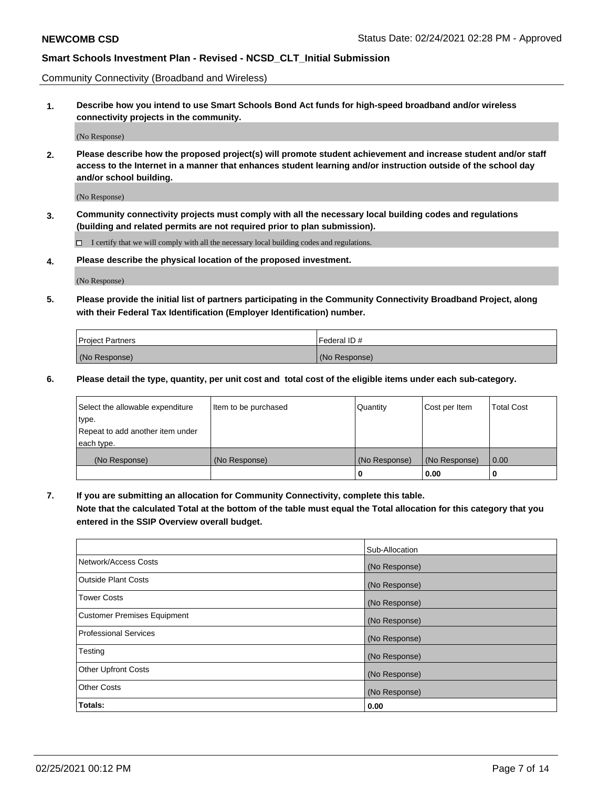Community Connectivity (Broadband and Wireless)

**1. Describe how you intend to use Smart Schools Bond Act funds for high-speed broadband and/or wireless connectivity projects in the community.**

(No Response)

**2. Please describe how the proposed project(s) will promote student achievement and increase student and/or staff access to the Internet in a manner that enhances student learning and/or instruction outside of the school day and/or school building.**

(No Response)

**3. Community connectivity projects must comply with all the necessary local building codes and regulations (building and related permits are not required prior to plan submission).**

 $\Box$  I certify that we will comply with all the necessary local building codes and regulations.

**4. Please describe the physical location of the proposed investment.**

(No Response)

**5. Please provide the initial list of partners participating in the Community Connectivity Broadband Project, along with their Federal Tax Identification (Employer Identification) number.**

| <b>Project Partners</b> | l Federal ID # |
|-------------------------|----------------|
| (No Response)           | (No Response)  |

**6. Please detail the type, quantity, per unit cost and total cost of the eligible items under each sub-category.**

| Select the allowable expenditure | Item to be purchased | Quantity      | Cost per Item | <b>Total Cost</b> |
|----------------------------------|----------------------|---------------|---------------|-------------------|
| type.                            |                      |               |               |                   |
| Repeat to add another item under |                      |               |               |                   |
| each type.                       |                      |               |               |                   |
| (No Response)                    | (No Response)        | (No Response) | (No Response) | 0.00              |
|                                  |                      | o             | 0.00          |                   |

**7. If you are submitting an allocation for Community Connectivity, complete this table.**

**Note that the calculated Total at the bottom of the table must equal the Total allocation for this category that you entered in the SSIP Overview overall budget.**

|                                    | Sub-Allocation |
|------------------------------------|----------------|
| Network/Access Costs               | (No Response)  |
| Outside Plant Costs                | (No Response)  |
| <b>Tower Costs</b>                 | (No Response)  |
| <b>Customer Premises Equipment</b> | (No Response)  |
| <b>Professional Services</b>       | (No Response)  |
| Testing                            | (No Response)  |
| <b>Other Upfront Costs</b>         | (No Response)  |
| <b>Other Costs</b>                 | (No Response)  |
| Totals:                            | 0.00           |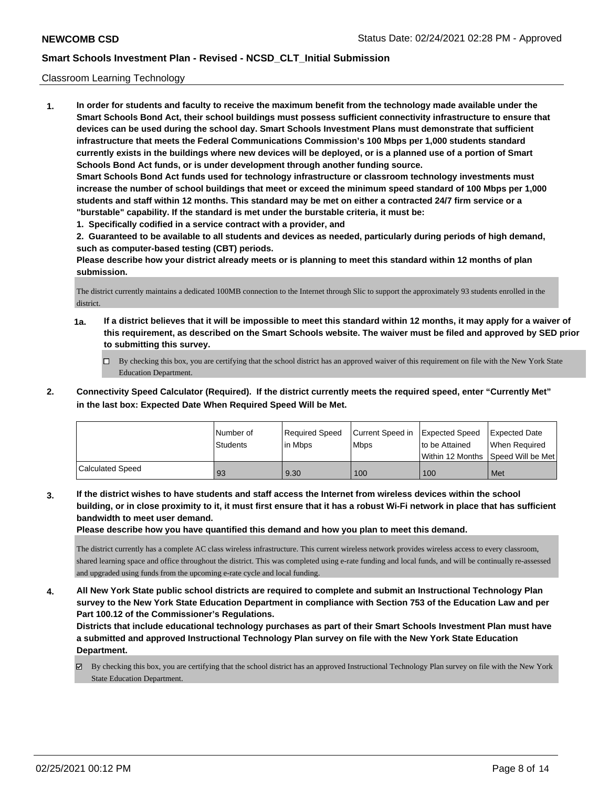### Classroom Learning Technology

**1. In order for students and faculty to receive the maximum benefit from the technology made available under the Smart Schools Bond Act, their school buildings must possess sufficient connectivity infrastructure to ensure that devices can be used during the school day. Smart Schools Investment Plans must demonstrate that sufficient infrastructure that meets the Federal Communications Commission's 100 Mbps per 1,000 students standard currently exists in the buildings where new devices will be deployed, or is a planned use of a portion of Smart Schools Bond Act funds, or is under development through another funding source. Smart Schools Bond Act funds used for technology infrastructure or classroom technology investments must increase the number of school buildings that meet or exceed the minimum speed standard of 100 Mbps per 1,000 students and staff within 12 months. This standard may be met on either a contracted 24/7 firm service or a "burstable" capability. If the standard is met under the burstable criteria, it must be:**

**1. Specifically codified in a service contract with a provider, and**

**2. Guaranteed to be available to all students and devices as needed, particularly during periods of high demand, such as computer-based testing (CBT) periods.**

**Please describe how your district already meets or is planning to meet this standard within 12 months of plan submission.**

The district currently maintains a dedicated 100MB connection to the Internet through Slic to support the approximately 93 students enrolled in the district.

- **1a. If a district believes that it will be impossible to meet this standard within 12 months, it may apply for a waiver of this requirement, as described on the Smart Schools website. The waiver must be filed and approved by SED prior to submitting this survey.**
	- By checking this box, you are certifying that the school district has an approved waiver of this requirement on file with the New York State Education Department.
- **2. Connectivity Speed Calculator (Required). If the district currently meets the required speed, enter "Currently Met" in the last box: Expected Date When Required Speed Will be Met.**

|                  | l Number of<br>Students | Required Speed<br>l in Mbps | Current Speed in<br>Mbps | Expected Speed<br>to be Attained | <b>Expected Date</b><br>When Required<br>Within 12 Months 1Speed Will be Met1 |
|------------------|-------------------------|-----------------------------|--------------------------|----------------------------------|-------------------------------------------------------------------------------|
| Calculated Speed | 93                      | 9.30                        | 100                      | 100                              | Met                                                                           |

**3. If the district wishes to have students and staff access the Internet from wireless devices within the school building, or in close proximity to it, it must first ensure that it has a robust Wi-Fi network in place that has sufficient bandwidth to meet user demand.**

**Please describe how you have quantified this demand and how you plan to meet this demand.**

The district currently has a complete AC class wireless infrastructure. This current wireless network provides wireless access to every classroom, shared learning space and office throughout the district. This was completed using e-rate funding and local funds, and will be continually re-assessed and upgraded using funds from the upcoming e-rate cycle and local funding.

**4. All New York State public school districts are required to complete and submit an Instructional Technology Plan survey to the New York State Education Department in compliance with Section 753 of the Education Law and per Part 100.12 of the Commissioner's Regulations.**

**Districts that include educational technology purchases as part of their Smart Schools Investment Plan must have a submitted and approved Instructional Technology Plan survey on file with the New York State Education Department.**

By checking this box, you are certifying that the school district has an approved Instructional Technology Plan survey on file with the New York State Education Department.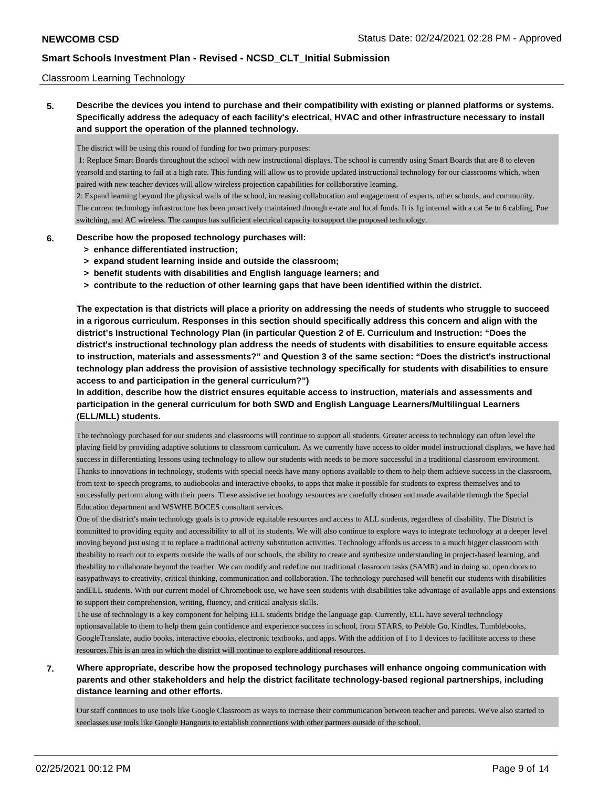### Classroom Learning Technology

**5. Describe the devices you intend to purchase and their compatibility with existing or planned platforms or systems. Specifically address the adequacy of each facility's electrical, HVAC and other infrastructure necessary to install and support the operation of the planned technology.**

The district will be using this round of funding for two primary purposes:

 1: Replace Smart Boards throughout the school with new instructional displays. The school is currently using Smart Boards that are 8 to eleven yearsold and starting to fail at a high rate. This funding will allow us to provide updated instructional technology for our classrooms which, when paired with new teacher devices will allow wireless projection capabilities for collaborative learning.

2: Expand learning beyond the physical walls of the school, increasing collaboration and engagement of experts, other schools, and community. The current technology infrastructure has been proactively maintained through e-rate and local funds. It is 1g internal with a cat 5e to 6 cabling, Poe switching, and AC wireless. The campus has sufficient electrical capacity to support the proposed technology.

### **6. Describe how the proposed technology purchases will:**

- **> enhance differentiated instruction;**
- **> expand student learning inside and outside the classroom;**
- **> benefit students with disabilities and English language learners; and**
- **> contribute to the reduction of other learning gaps that have been identified within the district.**

**The expectation is that districts will place a priority on addressing the needs of students who struggle to succeed in a rigorous curriculum. Responses in this section should specifically address this concern and align with the district's Instructional Technology Plan (in particular Question 2 of E. Curriculum and Instruction: "Does the district's instructional technology plan address the needs of students with disabilities to ensure equitable access to instruction, materials and assessments?" and Question 3 of the same section: "Does the district's instructional technology plan address the provision of assistive technology specifically for students with disabilities to ensure access to and participation in the general curriculum?")**

**In addition, describe how the district ensures equitable access to instruction, materials and assessments and participation in the general curriculum for both SWD and English Language Learners/Multilingual Learners (ELL/MLL) students.**

The technology purchased for our students and classrooms will continue to support all students. Greater access to technology can often level the playing field by providing adaptive solutions to classroom curriculum. As we currently have access to older model instructional displays, we have had success in differentiating lessons using technology to allow our students with needs to be more successful in a traditional classroom environment. Thanks to innovations in technology, students with special needs have many options available to them to help them achieve success in the classroom, from text-to-speech programs, to audiobooks and interactive ebooks, to apps that make it possible for students to express themselves and to successfully perform along with their peers. These assistive technology resources are carefully chosen and made available through the Special Education department and WSWHE BOCES consultant services.

One of the district's main technology goals is to provide equitable resources and access to ALL students, regardless of disability. The District is committed to providing equity and accessibility to all of its students. We will also continue to explore ways to integrate technology at a deeper level moving beyond just using it to replace a traditional activity substitution activities. Technology affords us access to a much bigger classroom with theability to reach out to experts outside the walls of our schools, the ability to create and synthesize understanding in project-based learning, and theability to collaborate beyond the teacher. We can modify and redefine our traditional classroom tasks (SAMR) and in doing so, open doors to easypathways to creativity, critical thinking, communication and collaboration. The technology purchased will benefit our students with disabilities andELL students. With our current model of Chromebook use, we have seen students with disabilities take advantage of available apps and extensions to support their comprehension, writing, fluency, and critical analysis skills.

The use of technology is a key component for helping ELL students bridge the language gap. Currently, ELL have several technology optionsavailable to them to help them gain confidence and experience success in school, from STARS, to Pebble Go, Kindles, Tumblebooks, GoogleTranslate, audio books, interactive ebooks, electronic textbooks, and apps. With the addition of 1 to 1 devices to facilitate access to these resources.This is an area in which the district will continue to explore additional resources.

**7. Where appropriate, describe how the proposed technology purchases will enhance ongoing communication with parents and other stakeholders and help the district facilitate technology-based regional partnerships, including distance learning and other efforts.**

Our staff continues to use tools like Google Classroom as ways to increase their communication between teacher and parents. We've also started to seeclasses use tools like Google Hangouts to establish connections with other partners outside of the school.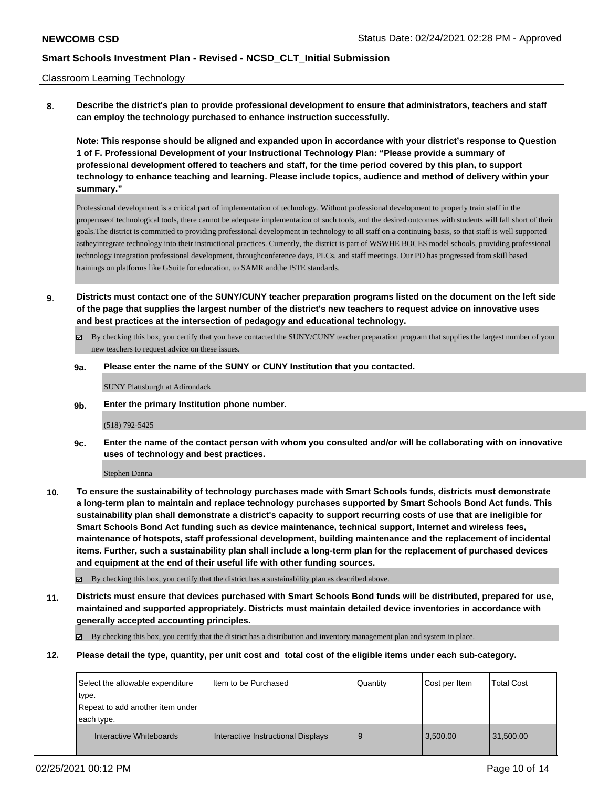### Classroom Learning Technology

**8. Describe the district's plan to provide professional development to ensure that administrators, teachers and staff can employ the technology purchased to enhance instruction successfully.**

**Note: This response should be aligned and expanded upon in accordance with your district's response to Question 1 of F. Professional Development of your Instructional Technology Plan: "Please provide a summary of professional development offered to teachers and staff, for the time period covered by this plan, to support technology to enhance teaching and learning. Please include topics, audience and method of delivery within your summary."**

Professional development is a critical part of implementation of technology. Without professional development to properly train staff in the properuseof technological tools, there cannot be adequate implementation of such tools, and the desired outcomes with students will fall short of their goals.The district is committed to providing professional development in technology to all staff on a continuing basis, so that staff is well supported astheyintegrate technology into their instructional practices. Currently, the district is part of WSWHE BOCES model schools, providing professional technology integration professional development, throughconference days, PLCs, and staff meetings. Our PD has progressed from skill based trainings on platforms like GSuite for education, to SAMR andthe ISTE standards.

- **9. Districts must contact one of the SUNY/CUNY teacher preparation programs listed on the document on the left side of the page that supplies the largest number of the district's new teachers to request advice on innovative uses and best practices at the intersection of pedagogy and educational technology.**
	- By checking this box, you certify that you have contacted the SUNY/CUNY teacher preparation program that supplies the largest number of your new teachers to request advice on these issues.

### **9a. Please enter the name of the SUNY or CUNY Institution that you contacted.**

SUNY Plattsburgh at Adirondack

**9b. Enter the primary Institution phone number.**

#### (518) 792-5425

**9c. Enter the name of the contact person with whom you consulted and/or will be collaborating with on innovative uses of technology and best practices.**

#### Stephen Danna

**10. To ensure the sustainability of technology purchases made with Smart Schools funds, districts must demonstrate a long-term plan to maintain and replace technology purchases supported by Smart Schools Bond Act funds. This sustainability plan shall demonstrate a district's capacity to support recurring costs of use that are ineligible for Smart Schools Bond Act funding such as device maintenance, technical support, Internet and wireless fees, maintenance of hotspots, staff professional development, building maintenance and the replacement of incidental items. Further, such a sustainability plan shall include a long-term plan for the replacement of purchased devices and equipment at the end of their useful life with other funding sources.**

By checking this box, you certify that the district has a sustainability plan as described above.

**11. Districts must ensure that devices purchased with Smart Schools Bond funds will be distributed, prepared for use, maintained and supported appropriately. Districts must maintain detailed device inventories in accordance with generally accepted accounting principles.**

By checking this box, you certify that the district has a distribution and inventory management plan and system in place.

**12. Please detail the type, quantity, per unit cost and total cost of the eligible items under each sub-category.**

| Select the allowable expenditure | Item to be Purchased               | Quantity | Cost per Item | <b>Total Cost</b> |
|----------------------------------|------------------------------------|----------|---------------|-------------------|
| type.                            |                                    |          |               |                   |
| Repeat to add another item under |                                    |          |               |                   |
| each type.                       |                                    |          |               |                   |
| Interactive Whiteboards          | Interactive Instructional Displays | 9        | 3,500.00      | 31,500.00         |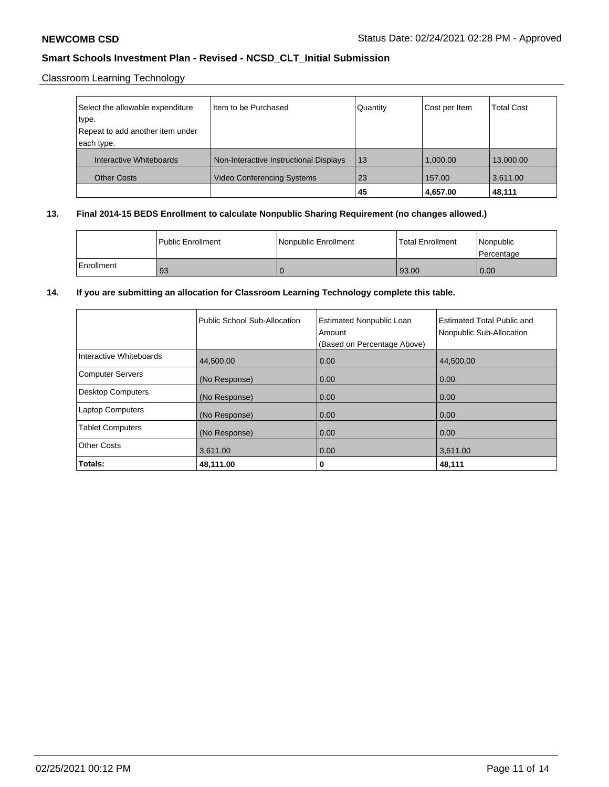Classroom Learning Technology

| Select the allowable expenditure | Iltem to be Purchased                  | Quantity | Cost per Item | <b>Total Cost</b> |
|----------------------------------|----------------------------------------|----------|---------------|-------------------|
| type.                            |                                        |          |               |                   |
| Repeat to add another item under |                                        |          |               |                   |
| each type.                       |                                        |          |               |                   |
| Interactive Whiteboards          | Non-Interactive Instructional Displays | 13       | 1.000.00      | 13,000.00         |
| <b>Other Costs</b>               | <b>Video Conferencing Systems</b>      | 23       | 157.00        | 3,611.00          |
|                                  |                                        | 45       | 4,657.00      | 48,111            |

# **13. Final 2014-15 BEDS Enrollment to calculate Nonpublic Sharing Requirement (no changes allowed.)**

|            | l Public Enrollment | Nonpublic Enrollment | <b>Total Enrollment</b> | Nonpublic<br>l Percentage |
|------------|---------------------|----------------------|-------------------------|---------------------------|
| Enrollment | 93                  |                      | 93.00                   | 0.00                      |

## **14. If you are submitting an allocation for Classroom Learning Technology complete this table.**

|                         | Public School Sub-Allocation | <b>Estimated Nonpublic Loan</b><br>Amount<br>(Based on Percentage Above) | <b>Estimated Total Public and</b><br>Nonpublic Sub-Allocation |
|-------------------------|------------------------------|--------------------------------------------------------------------------|---------------------------------------------------------------|
| Interactive Whiteboards | 44,500.00                    | 0.00                                                                     | 44.500.00                                                     |
| Computer Servers        | (No Response)                | 0.00                                                                     | 0.00                                                          |
| Desktop Computers       | (No Response)                | 0.00                                                                     | 0.00                                                          |
| <b>Laptop Computers</b> | (No Response)                | 0.00                                                                     | 0.00                                                          |
| <b>Tablet Computers</b> | (No Response)                | 0.00                                                                     | 0.00                                                          |
| <b>Other Costs</b>      | 3,611.00                     | 0.00                                                                     | 3,611.00                                                      |
| Totals:                 | 48,111.00                    | 0                                                                        | 48,111                                                        |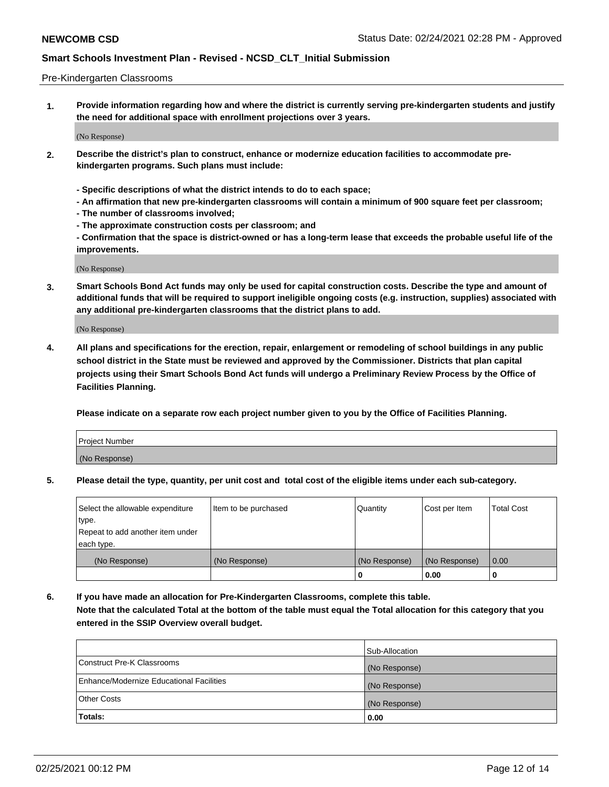### Pre-Kindergarten Classrooms

**1. Provide information regarding how and where the district is currently serving pre-kindergarten students and justify the need for additional space with enrollment projections over 3 years.**

(No Response)

- **2. Describe the district's plan to construct, enhance or modernize education facilities to accommodate prekindergarten programs. Such plans must include:**
	- **Specific descriptions of what the district intends to do to each space;**
	- **An affirmation that new pre-kindergarten classrooms will contain a minimum of 900 square feet per classroom;**
	- **The number of classrooms involved;**
	- **The approximate construction costs per classroom; and**
	- **Confirmation that the space is district-owned or has a long-term lease that exceeds the probable useful life of the improvements.**

(No Response)

**3. Smart Schools Bond Act funds may only be used for capital construction costs. Describe the type and amount of additional funds that will be required to support ineligible ongoing costs (e.g. instruction, supplies) associated with any additional pre-kindergarten classrooms that the district plans to add.**

(No Response)

**4. All plans and specifications for the erection, repair, enlargement or remodeling of school buildings in any public school district in the State must be reviewed and approved by the Commissioner. Districts that plan capital projects using their Smart Schools Bond Act funds will undergo a Preliminary Review Process by the Office of Facilities Planning.**

**Please indicate on a separate row each project number given to you by the Office of Facilities Planning.**

| Project Number |  |
|----------------|--|
| (No Response)  |  |
|                |  |

**5. Please detail the type, quantity, per unit cost and total cost of the eligible items under each sub-category.**

| Select the allowable expenditure | Item to be purchased | Quantity      | Cost per Item | <b>Total Cost</b> |
|----------------------------------|----------------------|---------------|---------------|-------------------|
| type.                            |                      |               |               |                   |
| Repeat to add another item under |                      |               |               |                   |
| each type.                       |                      |               |               |                   |
| (No Response)                    | (No Response)        | (No Response) | (No Response) | 0.00              |
|                                  |                      | U             | 0.00          |                   |

**6. If you have made an allocation for Pre-Kindergarten Classrooms, complete this table. Note that the calculated Total at the bottom of the table must equal the Total allocation for this category that you entered in the SSIP Overview overall budget.**

|                                          | Sub-Allocation |
|------------------------------------------|----------------|
| Construct Pre-K Classrooms               | (No Response)  |
| Enhance/Modernize Educational Facilities | (No Response)  |
| <b>Other Costs</b>                       | (No Response)  |
| Totals:                                  | 0.00           |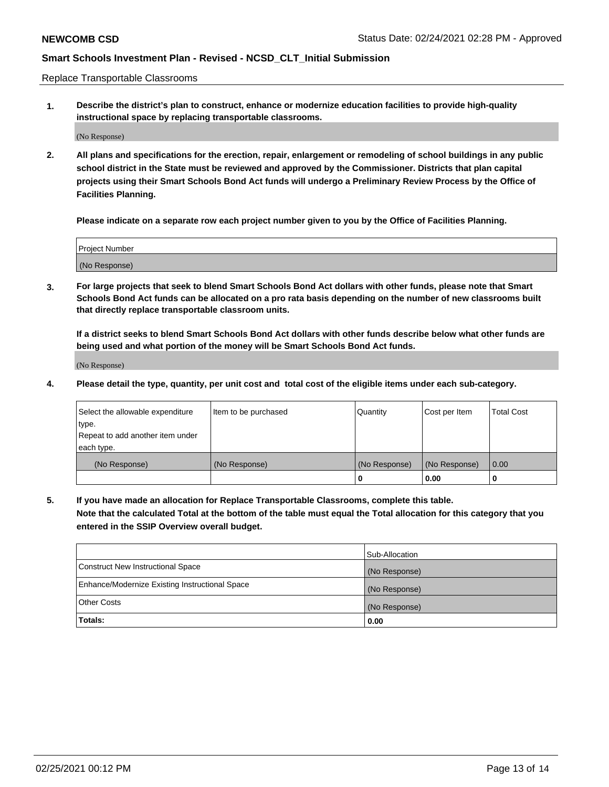Replace Transportable Classrooms

**1. Describe the district's plan to construct, enhance or modernize education facilities to provide high-quality instructional space by replacing transportable classrooms.**

(No Response)

**2. All plans and specifications for the erection, repair, enlargement or remodeling of school buildings in any public school district in the State must be reviewed and approved by the Commissioner. Districts that plan capital projects using their Smart Schools Bond Act funds will undergo a Preliminary Review Process by the Office of Facilities Planning.**

**Please indicate on a separate row each project number given to you by the Office of Facilities Planning.**

| Project Number |  |
|----------------|--|
|                |  |
|                |  |
|                |  |
|                |  |
| (No Response)  |  |
|                |  |
|                |  |
|                |  |

**3. For large projects that seek to blend Smart Schools Bond Act dollars with other funds, please note that Smart Schools Bond Act funds can be allocated on a pro rata basis depending on the number of new classrooms built that directly replace transportable classroom units.**

**If a district seeks to blend Smart Schools Bond Act dollars with other funds describe below what other funds are being used and what portion of the money will be Smart Schools Bond Act funds.**

(No Response)

**4. Please detail the type, quantity, per unit cost and total cost of the eligible items under each sub-category.**

| Select the allowable expenditure | Item to be purchased | Quantity      | Cost per Item | Total Cost |
|----------------------------------|----------------------|---------------|---------------|------------|
| ∣type.                           |                      |               |               |            |
| Repeat to add another item under |                      |               |               |            |
| each type.                       |                      |               |               |            |
| (No Response)                    | (No Response)        | (No Response) | (No Response) | 0.00       |
|                                  |                      | u             | 0.00          |            |

**5. If you have made an allocation for Replace Transportable Classrooms, complete this table. Note that the calculated Total at the bottom of the table must equal the Total allocation for this category that you entered in the SSIP Overview overall budget.**

|                                                | Sub-Allocation |
|------------------------------------------------|----------------|
| Construct New Instructional Space              | (No Response)  |
| Enhance/Modernize Existing Instructional Space | (No Response)  |
| <b>Other Costs</b>                             | (No Response)  |
| Totals:                                        | 0.00           |